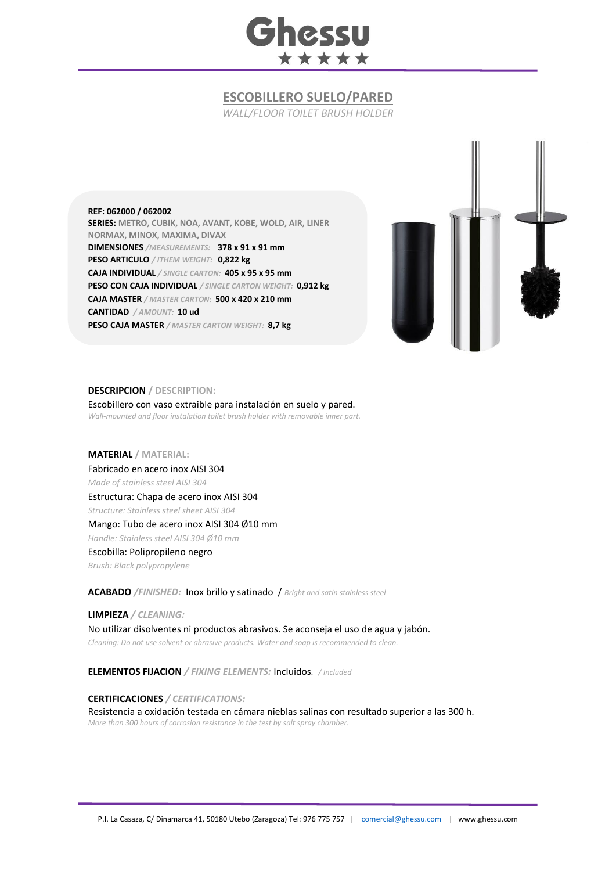

# **ESCOBILLERO SUELO/PARED**

*WALL/FLOOR TOILET BRUSH HOLDER*

#### **REF: 062000 / 062002**

**SERIES: METRO, CUBIK, NOA, AVANT, KOBE, WOLD, AIR, LINER NORMAX, MINOX, MAXIMA, DIVAX DIMENSIONES** */MEASUREMENTS:* **378 x 91 x 91 mm PESO ARTICULO** */ ITHEM WEIGHT:* **0,822 kg CAJA INDIVIDUAL** */ SINGLE CARTON:* **405 x 95 x 95 mm PESO CON CAJA INDIVIDUAL** */ SINGLE CARTON WEIGHT:* **0,912 kg CAJA MASTER** */ MASTER CARTON:* **500 x 420 x 210 mm CANTIDAD** */ AMOUNT:* **10 ud PESO CAJA MASTER** */ MASTER CARTON WEIGHT:* **8,7 kg**



#### **DESCRIPCION / DESCRIPTION:**

Escobillero con vaso extraible para instalación en suelo y pared. *Wall-mounted and floor instalation toilet brush holder with removable inner part.*

## **MATERIAL / MATERIAL:**

Fabricado en acero inox AISI 304 *Made of stainless steel AISI 304* Estructura: Chapa de acero inox AISI 304 *Structure: Stainless steel sheet AISI 304* Mango: Tubo de acero inox AISI 304 Ø10 mm *Handle: Stainless steel AISI 304 Ø10 mm* Escobilla: Polipropileno negro *Brush: Black polypropylene* 

**ACABADO** */FINISHED:* Inox brillo y satinado / *Bright and satin stainless steel*

**LIMPIEZA** */ CLEANING:*

No utilizar disolventes ni productos abrasivos. Se aconseja el uso de agua y jabón. *Cleaning: Do not use solvent or abrasive products. Water and soap is recommended to clean.*

**ELEMENTOS FIJACION** */ FIXING ELEMENTS:* Incluidos*. / Included*

### **CERTIFICACIONES** */ CERTIFICATIONS:*

Resistencia a oxidación testada en cámara nieblas salinas con resultado superior a las 300 h. *More than 300 hours of corrosion resistance in the test by salt spray chamber.*